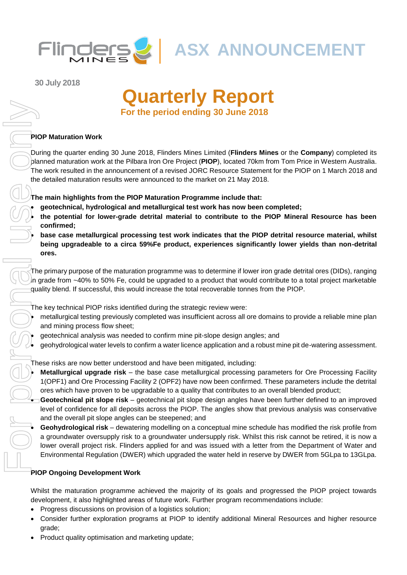

**30 July 2018**

# **Quarterly Report For the period ending 30 June 2018**

## **PIOP Maturation Work**

During the quarter ending 30 June 2018, Flinders Mines Limited (**Flinders Mines** or the **Company**) completed its planned maturation work at the Pilbara Iron Ore Project (**PIOP**), located 70km from Tom Price in Western Australia. The work resulted in the announcement of a revised JORC Resource Statement for the PIOP on 1 March 2018 and the detailed maturation results were announced to the market on 21 May 2018.

**The main highlights from the PIOP Maturation Programme include that:**

- **geotechnical, hydrological and metallurgical test work has now been completed;**
- **the potential for lower-grade detrital material to contribute to the PIOP Mineral Resource has been confirmed;**
- **base case metallurgical processing test work indicates that the PIOP detrital resource material, whilst being upgradeable to a circa 59%Fe product, experiences significantly lower yields than non-detrital ores.**

The primary purpose of the maturation programme was to determine if lower iron grade detrital ores (DIDs), ranging in grade from ~40% to 50% Fe, could be upgraded to a product that would contribute to a total project marketable quality blend. If successful, this would increase the total recoverable tonnes from the PIOP.

The key technical PIOP risks identified during the strategic review were:

- metallurgical testing previously completed was insufficient across all ore domains to provide a reliable mine plan and mining process flow sheet;
- geotechnical analysis was needed to confirm mine pit-slope design angles; and
- geohydrological water levels to confirm a water licence application and a robust mine pit de-watering assessment.

These risks are now better understood and have been mitigated, including:

- **Metallurgical upgrade risk**  the base case metallurgical processing parameters for Ore Processing Facility 1(OPF1) and Ore Processing Facility 2 (OPF2) have now been confirmed. These parameters include the detrital ores which have proven to be upgradable to a quality that contributes to an overall blended product;
- **Geotechnical pit slope risk**  geotechnical pit slope design angles have been further defined to an improved level of confidence for all deposits across the PIOP. The angles show that previous analysis was conservative and the overall pit slope angles can be steepened; and

• **Geohydrological risk** – dewatering modelling on a conceptual mine schedule has modified the risk profile from a groundwater oversupply risk to a groundwater undersupply risk. Whilst this risk cannot be retired, it is now a lower overall project risk. Flinders applied for and was issued with a letter from the Department of Water and Environmental Regulation (DWER) which upgraded the water held in reserve by DWER from 5GLpa to 13GLpa.

## **PIOP Ongoing Development Work**

Whilst the maturation programme achieved the majority of its goals and progressed the PIOP project towards development, it also highlighted areas of future work. Further program recommendations include:

- Progress discussions on provision of a logistics solution;
- Consider further exploration programs at PIOP to identify additional Mineral Resources and higher resource grade;
-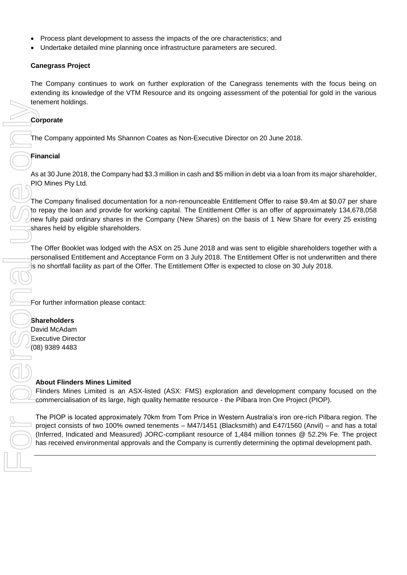- Process plant development to assess the impacts of the ore characteristics; and
- Undertake detailed mine planning once infrastructure parameters are secured.

## **Canegrass Project**

The Company continues to work on further exploration of the Canegrass tenements with the focus being on extending its knowledge of the VTM Resource and its ongoing assessment of the potential for gold in the various tenement holdings.

## **Corporate**

The Company appointed Ms Shannon Coates as Non-Executive Director on 20 June 2018.

## **Financial**

As at 30 June 2018, the Company had \$3.3 million in cash and \$5 million in debt via a loan from its major shareholder, PIO Mines Pty Ltd.

The Company finalised documentation for a non-renounceable Entitlement Offer to raise \$9.4m at \$0.07 per share to repay the loan and provide for working capital. The Entitlement Offer is an offer of approximately 134,678,058 new fully paid ordinary shares in the Company (New Shares) on the basis of 1 New Share for every 25 existing shares held by eligible shareholders. member more content.<br>
The Company appointed Ms Shannon Contes as Non-Executive Director on 20 June 2018.<br>
From Company incidends of Shannon Contes and and \$5 million in cubic variation from the Company incidents in the Com

The Offer Booklet was lodged with the ASX on 25 June 2018 and was sent to eligible shareholders together with a personalised Entitlement and Acceptance Form on 3 July 2018. The Entitlement Offer is not underwritten and there is no shortfall facility as part of the Offer. The Entitlement Offer is expected to close on 30 July 2018.

For further information please contact:

## **Shareholders**

David McAdam Executive Director (08) 9389 4483

## **About Flinders Mines Limited**

Flinders Mines Limited is an ASX-listed (ASX: FMS) exploration and development company focused on the commercialisation of its large, high quality hematite resource - the Pilbara Iron Ore Project (PIOP).

The PIOP is located approximately 70km from Tom Price in Western Australia's iron ore-rich Pilbara region. The project consists of two 100% owned tenements – M47/1451 (Blacksmith) and E47/1560 (Anvil) – and has a total (Inferred, Indicated and Measured) JORC-compliant resource of 1,484 million tonnes @ 52.2% Fe. The project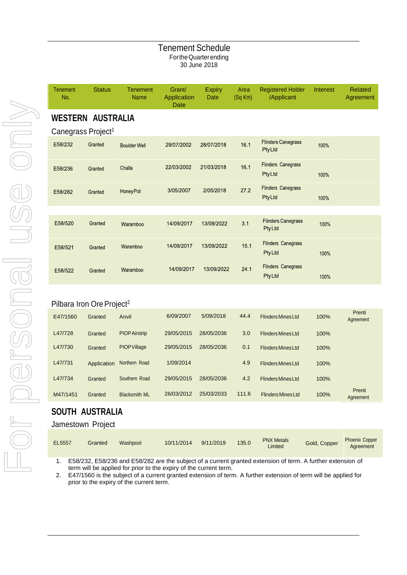## Tenement Schedule FortheQuarterending 30 June 2018

| <b>Tenement</b><br>No. | <b>Status</b>                  | <b>Tenement</b><br><b>Name</b> | Grant/<br>Application<br>Date | <b>Expiry</b><br><b>Date</b> | Area<br>$(Sq$ Km $)$ | <b>Registered Holder</b><br>/Applicant     | Interest | <b>Related</b><br>Agreement |  |
|------------------------|--------------------------------|--------------------------------|-------------------------------|------------------------------|----------------------|--------------------------------------------|----------|-----------------------------|--|
|                        | <b>WESTERN AUSTRALIA</b>       |                                |                               |                              |                      |                                            |          |                             |  |
|                        | Canegrass Project <sup>1</sup> |                                |                               |                              |                      |                                            |          |                             |  |
| E58/232                | Granted                        | <b>Boulder Well</b>            | 29/07/2002                    | 28/07/2018                   | 16.1                 | <b>Flinders Canegrass</b><br><b>PtyLtd</b> | 100%     |                             |  |
| E58/236                | Granted                        | Challa                         | 22/03/2002                    | 21/03/2018                   | 16.1                 | <b>Flinders Canegrass</b><br><b>PtyLtd</b> | 100%     |                             |  |
| E58/282                | Granted                        | <b>HoneyPot</b>                | 3/05/2007                     | 2/05/2018                    | 27.2                 | <b>Flinders Canegrass</b><br>PtyLtd        | 100%     |                             |  |
|                        |                                |                                |                               |                              |                      |                                            |          |                             |  |
| E58/520                | Granted                        | Waramboo                       | 14/09/2017                    | 13/09/2022                   | 3.1                  | <b>Flinders Canegrass</b><br><b>PtyLtd</b> | 100%     |                             |  |
| E58/521                | Granted                        | Waramboo                       | 14/09/2017                    | 13/09/2022                   | 15.1                 | <b>Flinders Canegrass</b><br><b>PtyLtd</b> | 100%     |                             |  |
| E58/522                | Granted                        | Waramboo                       | 14/09/2017                    | 13/09/2022                   | 24.1                 | <b>Flinders Canegrass</b><br><b>PtyLtd</b> | 100%     |                             |  |
|                        |                                |                                |                               |                              |                      |                                            |          |                             |  |

## Pilbara Iron Ore Project<sup>2</sup>

| E47/1560 | Granted     | Anvil                | 6/09/2007  | 5/09/2018  | 44.4  | <b>Flinders Mines Ltd</b> | 100% | Prenti<br>Agreement |
|----------|-------------|----------------------|------------|------------|-------|---------------------------|------|---------------------|
| L47/728  | Granted     | <b>PIOP Airstrip</b> | 29/05/2015 | 28/05/2036 | 3.0   | <b>Flinders Mines Ltd</b> | 100% |                     |
| L47/730  | Granted     | <b>PIOP Village</b>  | 29/05/2015 | 28/05/2036 | 0.1   | <b>Flinders Mines Ltd</b> | 100% |                     |
| L47/731  | Application | Northern Road        | 1/09/2014  |            | 4.9   | <b>Flinders Mines Ltd</b> | 100% |                     |
| L47/734  | Granted     | Southern Road        | 29/05/2015 | 28/05/2036 | 4.2   | <b>Flinders Mines Ltd</b> | 100% |                     |
| M47/1451 | Granted     | <b>Blacksmith ML</b> | 26/03/2012 | 25/03/2033 | 111.6 | <b>Flinders Mines Ltd</b> | 100% | Prenti<br>Agreement |

## **SOUTH AUSTRALIA**

## Jamestown Project

| EL5557 | Granted | Washpool | 10/11/2014 | 9/11/2019 | 135.0 | <b>PNX Metals</b><br>Limited | Gold, Copper | <b>Phoenix Copper</b><br>Agreement |
|--------|---------|----------|------------|-----------|-------|------------------------------|--------------|------------------------------------|
|--------|---------|----------|------------|-----------|-------|------------------------------|--------------|------------------------------------|

1. E58/232, E58/236 and E58/282 are the subject of a current granted extension of term. A further extension of term will be applied for prior to the expiry of the current term.

2. E47/1560 is the subject of a current granted extension of term. A further extension of term will be applied for prior to the expiry of the current term.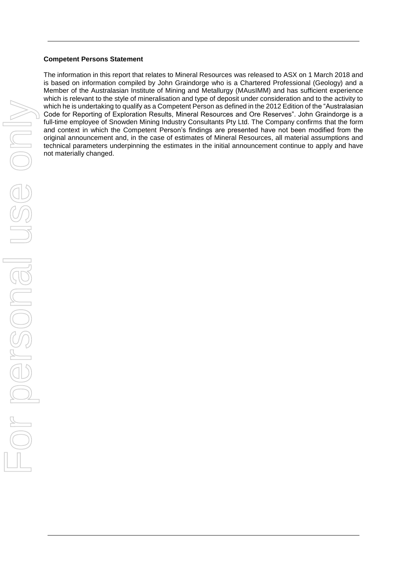#### **Competent Persons Statement**

The information in this report that relates to Mineral Resources was released to ASX on 1 March 2018 and is based on information compiled by John Graindorge who is a Chartered Professional (Geology) and a Member of the Australasian Institute of Mining and Metallurgy (MAusIMM) and has sufficient experience which is relevant to the style of mineralisation and type of deposit under consideration and to the activity to which he is undertaking to qualify as a Competent Person as defined in the 2012 Edition of the "Australasian Code for Reporting of Exploration Results, Mineral Resources and Ore Reserves". John Graindorge is a full-time employee of Snowden Mining Industry Consultants Pty Ltd. The Company confirms that the form and context in which the Competent Person's findings are presented have not been modified from the original announcement and, in the case of estimates of Mineral Resources, all material assumptions and technical parameters underpinning the estimates in the initial announcement continue to apply and have not materially changed.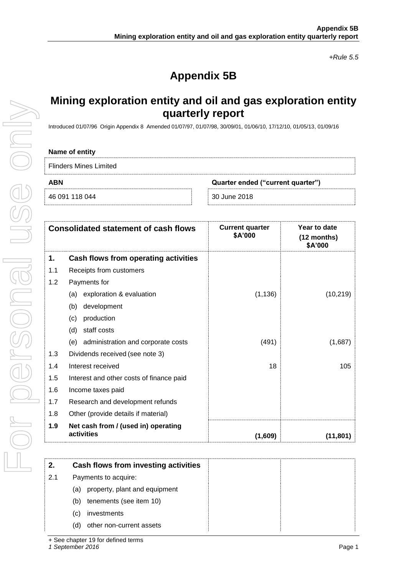*+Rule 5.5*

# **Appendix 5B**

## **Mining exploration entity and oil and gas exploration entity quarterly report**

Introduced 01/07/96 Origin Appendix 8 Amended 01/07/97, 01/07/98, 30/09/01, 01/06/10, 17/12/10, 01/05/13, 01/09/16

### **Name of entity**

Flinders Mines Limited

46 091 118 044 30 June 2018

**ABN Quarter ended ("current quarter")**

|     | <b>Consolidated statement of cash flows</b>       | <b>Current quarter</b><br>\$A'000 | Year to date<br>(12 months)<br>\$A'000 |
|-----|---------------------------------------------------|-----------------------------------|----------------------------------------|
| 1.  | Cash flows from operating activities              |                                   |                                        |
| 1.1 | Receipts from customers                           |                                   |                                        |
| 1.2 | Payments for                                      |                                   |                                        |
|     | exploration & evaluation<br>(a)                   | (1, 136)                          | (10, 219)                              |
|     | development<br>(b)                                |                                   |                                        |
|     | production<br>(c)                                 |                                   |                                        |
|     | staff costs<br>(d)                                |                                   |                                        |
|     | administration and corporate costs<br>(e)         | (491)                             | (1,687)                                |
| 1.3 | Dividends received (see note 3)                   |                                   |                                        |
| 1.4 | Interest received                                 | 18                                | 105                                    |
| 1.5 | Interest and other costs of finance paid          |                                   |                                        |
| 1.6 | Income taxes paid                                 |                                   |                                        |
| 1.7 | Research and development refunds                  |                                   |                                        |
| 1.8 | Other (provide details if material)               |                                   |                                        |
| 1.9 | Net cash from / (used in) operating<br>activities | (1,609)                           | (11, 801)                              |

| 2.  | Cash flows from investing activities |  |
|-----|--------------------------------------|--|
| 2.1 | Payments to acquire:                 |  |
|     | property, plant and equipment<br>(a) |  |
|     | tenements (see item 10)<br>(b)       |  |
|     | investments<br>(C)                   |  |
|     | other non-current assets<br>(d)      |  |

*1 September 2016* Page 1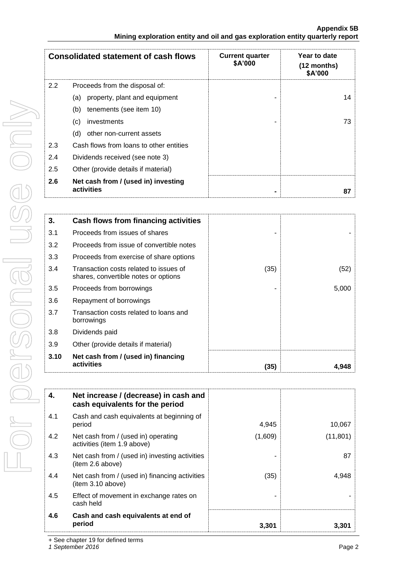|               | <b>Consolidated statement of cash flows</b>       | <b>Current quarter</b><br>\$A'000 | Year to date<br>(12 months)<br>\$A'000 |
|---------------|---------------------------------------------------|-----------------------------------|----------------------------------------|
| $2.2^{\circ}$ | Proceeds from the disposal of:                    |                                   |                                        |
|               | property, plant and equipment<br>(a)              |                                   | 14                                     |
|               | (b)<br>tenements (see item 10)                    |                                   |                                        |
|               | investments<br>(c)                                |                                   | 73                                     |
|               | other non-current assets<br>(d)                   |                                   |                                        |
| 2.3           | Cash flows from loans to other entities           |                                   |                                        |
| 2.4           | Dividends received (see note 3)                   |                                   |                                        |
| 2.5           | Other (provide details if material)               |                                   |                                        |
| 2.6           | Net cash from / (used in) investing<br>activities |                                   | 87                                     |

| 3.   | <b>Cash flows from financing activities</b>                                    |      |       |
|------|--------------------------------------------------------------------------------|------|-------|
| 3.1  | Proceeds from issues of shares                                                 |      |       |
| 3.2  | Proceeds from issue of convertible notes                                       |      |       |
| 3.3  | Proceeds from exercise of share options                                        |      |       |
| 3.4  | Transaction costs related to issues of<br>shares, convertible notes or options | (35) | (52)  |
| 3.5  | Proceeds from borrowings                                                       |      | 5,000 |
| 3.6  | Repayment of borrowings                                                        |      |       |
| 3.7  | Transaction costs related to loans and<br>borrowings                           |      |       |
| 3.8  | Dividends paid                                                                 |      |       |
| 3.9  | Other (provide details if material)                                            |      |       |
| 3.10 | Net cash from / (used in) financing<br>activities                              | (35) | 4.948 |

| 4.  | Net increase / (decrease) in cash and<br>cash equivalents for the period |         |           |
|-----|--------------------------------------------------------------------------|---------|-----------|
| 4.1 | Cash and cash equivalents at beginning of<br>period                      | 4,945   | 10,067    |
| 4.2 | Net cash from / (used in) operating<br>activities (item 1.9 above)       | (1,609) | (11, 801) |
| 4.3 | Net cash from / (used in) investing activities<br>(item 2.6 above)       |         | 87        |
| 4.4 | Net cash from / (used in) financing activities<br>item 3.10 above)       | (35)    | 4,948     |
| 4.5 | Effect of movement in exchange rates on<br>cash held                     |         |           |
| 4.6 | Cash and cash equivalents at end of<br>period                            | 3,301   | 3,301     |

+ See chapter 19 for defined terms

*1 September 2016* Page 2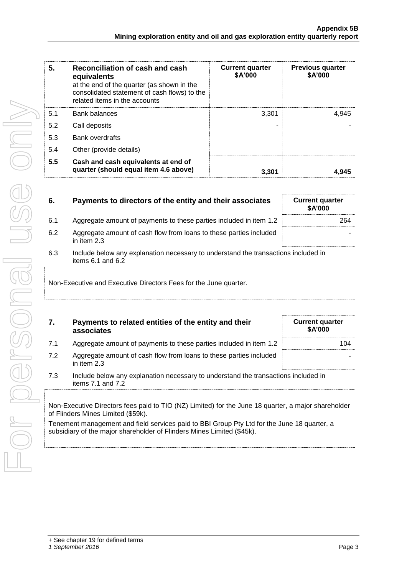| 5.  | Reconciliation of cash and cash<br>equivalents<br>at the end of the quarter (as shown in the<br>consolidated statement of cash flows) to the<br>related items in the accounts | <b>Current quarter</b><br>\$A'000 | <b>Previous quarter</b><br>\$A'000 |
|-----|-------------------------------------------------------------------------------------------------------------------------------------------------------------------------------|-----------------------------------|------------------------------------|
| 5.1 | <b>Bank balances</b>                                                                                                                                                          | 3.301                             | 4.945                              |
| 5.2 | Call deposits                                                                                                                                                                 |                                   |                                    |
| 5.3 | <b>Bank overdrafts</b>                                                                                                                                                        |                                   |                                    |
| 5.4 | Other (provide details)                                                                                                                                                       |                                   |                                    |
| 5.5 | Cash and cash equivalents at end of<br>quarter (should equal item 4.6 above)                                                                                                  | 3.301                             | 4.945                              |

| 6.  | Payments to directors of the entity and their associates                                                    | <b>Current quarter</b><br><b>\$A'000</b> |
|-----|-------------------------------------------------------------------------------------------------------------|------------------------------------------|
| 6.1 | Aggregate amount of payments to these parties included in item 1.2                                          | 264                                      |
| 6.2 | Aggregate amount of cash flow from loans to these parties included<br>in item 2.3                           |                                          |
| 6.3 | Include below any explanation necessary to understand the transactions included in<br>items $6.1$ and $6.2$ |                                          |
|     | Non-Executive and Executive Directors Fees for the June quarter.                                            |                                          |

| 7.  | Payments to related entities of the entity and their<br>associates                                                                        | <b>Current quarter</b><br>\$A'000 |  |
|-----|-------------------------------------------------------------------------------------------------------------------------------------------|-----------------------------------|--|
| 7.1 | Aggregate amount of payments to these parties included in item 1.2                                                                        | 104                               |  |
| 7.2 | Aggregate amount of cash flow from loans to these parties included<br>in item 2.3                                                         |                                   |  |
| 7.3 | Include below any explanation necessary to understand the transactions included in<br>items $7.1$ and $7.2$                               |                                   |  |
|     | Non-Executive Directors fees paid to TIO (NZ) Limited) for the June 18 quarter, a major shareholder<br>of Flinders Mines Limited (\$59k). |                                   |  |
|     | Tenement management and field services paid to BBI Group Pty Ltd for the June 18 quarter, a                                               |                                   |  |

subsidiary of the major shareholder of Flinders Mines Limited (\$45k).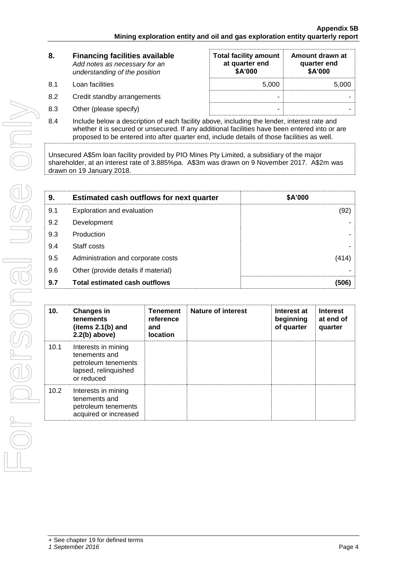| 8.  | <b>Financing facilities available</b><br>Add notes as necessary for an<br>understanding of the position | <b>Total facility amount</b><br>at quarter end<br>\$A'000 | Amount drawn at<br>quarter end<br>\$A'000 |  |
|-----|---------------------------------------------------------------------------------------------------------|-----------------------------------------------------------|-------------------------------------------|--|
| 8.1 | Loan facilities                                                                                         | 5.000                                                     | 5,000                                     |  |
| 8.2 | Credit standby arrangements                                                                             | -                                                         |                                           |  |
| 8.3 | Other (please specify)                                                                                  | -                                                         |                                           |  |

8.4 Include below a description of each facility above, including the lender, interest rate and whether it is secured or unsecured. If any additional facilities have been entered into or are proposed to be entered into after quarter end, include details of those facilities as well.

Unsecured A\$5m loan facility provided by PIO Mines Pty Limited, a subsidiary of the major shareholder, at an interest rate of 3.885%pa. A\$3m was drawn on 9 November 2017. A\$2m was drawn on 19 January 2018.

| 9.  | <b>Estimated cash outflows for next quarter</b> | \$A'000 |
|-----|-------------------------------------------------|---------|
| 9.1 | Exploration and evaluation                      | (92)    |
| 9.2 | Development                                     |         |
| 9.3 | Production                                      |         |
| 9.4 | Staff costs                                     |         |
| 9.5 | Administration and corporate costs              | (414)   |
| 9.6 | Other (provide details if material)             |         |
| 9.7 | <b>Total estimated cash outflows</b>            | (506)   |

| 10.  | <b>Changes in</b><br>tenements<br>(items $2.1(b)$ and<br>$2.2(b)$ above)                          | <b>Tenement</b><br>reference<br>and<br><b>location</b> | <b>Nature of interest</b> | Interest at<br>beginning<br>of quarter | <b>Interest</b><br>at end of<br>quarter |
|------|---------------------------------------------------------------------------------------------------|--------------------------------------------------------|---------------------------|----------------------------------------|-----------------------------------------|
| 10.1 | Interests in mining<br>tenements and<br>petroleum tenements<br>lapsed, relinquished<br>or reduced |                                                        |                           |                                        |                                         |
| 10.2 | Interests in mining<br>tenements and<br>petroleum tenements<br>acquired or increased              |                                                        |                           |                                        |                                         |